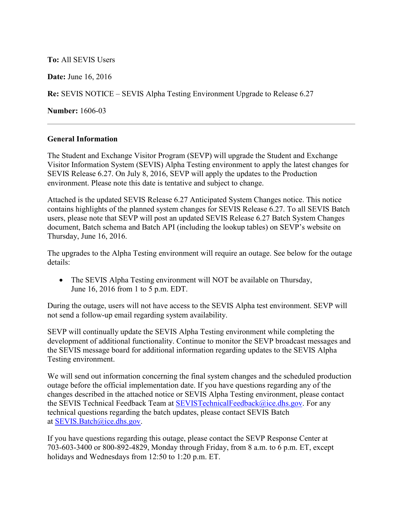**To:** All SEVIS Users

**Date:** June 16, 2016

**Re:** SEVIS NOTICE – SEVIS Alpha Testing Environment Upgrade to Release 6.27

**Number:** 1606-03

## **General Information**

The Student and Exchange Visitor Program (SEVP) will upgrade the Student and Exchange Visitor Information System (SEVIS) Alpha Testing environment to apply the latest changes for SEVIS Release 6.27. On July 8, 2016, SEVP will apply the updates to the Production environment. Please note this date is tentative and subject to change.

Attached is the updated SEVIS Release 6.27 Anticipated System Changes notice. This notice contains highlights of the planned system changes for SEVIS Release 6.27. To all SEVIS Batch users, please note that SEVP will post an updated SEVIS Release 6.27 Batch System Changes document, Batch schema and Batch API (including the lookup tables) on SEVP's website on Thursday, June 16, 2016.

The upgrades to the Alpha Testing environment will require an outage. See below for the outage details:

• The SEVIS Alpha Testing environment will NOT be available on Thursday, June 16, 2016 from 1 to 5 p.m. EDT.

During the outage, users will not have access to the SEVIS Alpha test environment. SEVP will not send a follow-up email regarding system availability.

SEVP will continually update the SEVIS Alpha Testing environment while completing the development of additional functionality. Continue to monitor the SEVP broadcast messages and the SEVIS message board for additional information regarding updates to the SEVIS Alpha Testing environment.

We will send out information concerning the final system changes and the scheduled production outage before the official implementation date. If you have questions regarding any of the changes described in the attached notice or SEVIS Alpha Testing environment, please contact the SEVIS Technical Feedback Team at [SEVISTechnicalFeedback@ice.dhs.gov.](mailto:SEVISTechnicalFeedback@ice.dhs.gov) For any technical questions regarding the batch updates, please contact SEVIS Batch at [SEVIS.Batch@ice.dhs.gov.](mailto:SEVIS.Batch@ice.dhs.gov)

If you have questions regarding this outage, please contact the SEVP Response Center at 703-603-3400 or 800-892-4829, Monday through Friday, from 8 a.m. to 6 p.m. ET, except holidays and Wednesdays from 12:50 to 1:20 p.m. ET.